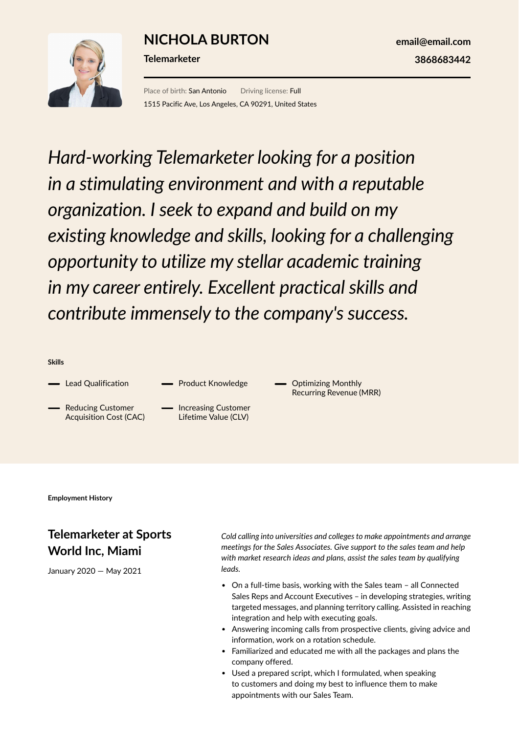## **NICHOLA BURTON**



**Telemarketer**

**email@email.com 3868683442**

Place of birth: San Antonio Driving license: Full 1515 Pacific Ave, Los Angeles, CA 90291, United States

*Hard-working Telemarketer looking for a position in a stimulating environment and with a reputable organization. I seek to expand and build on my existing knowledge and skills, looking for a challenging opportunity to utilize my stellar academic training in my career entirely. Excellent practical skills and contribute immensely to the company's success.*

**Skills**

- Lead Qualification
- Reducing Customer Acquisition Cost (CAC)
- Increasing Customer Lifetime Value (CLV)

- Product Knowledge

Optimizing Monthly Recurring Revenue (MRR)

**Employment History**

## **Telemarketer at Sports World Inc, Miami**

January 2020 — May 2021

*Cold calling into universities and colleges to make appointments and arrange meetings for the Sales Associates. Give support to the sales team and help with market research ideas and plans, assist the sales team by qualifying leads.*

- On a full-time basis, working with the Sales team all Connected Sales Reps and Account Executives – in developing strategies, writing targeted messages, and planning territory calling. Assisted in reaching integration and help with executing goals.
- Answering incoming calls from prospective clients, giving advice and information, work on a rotation schedule.
- Familiarized and educated me with all the packages and plans the company offered.
- Used a prepared script, which I formulated, when speaking to customers and doing my best to influence them to make appointments with our Sales Team.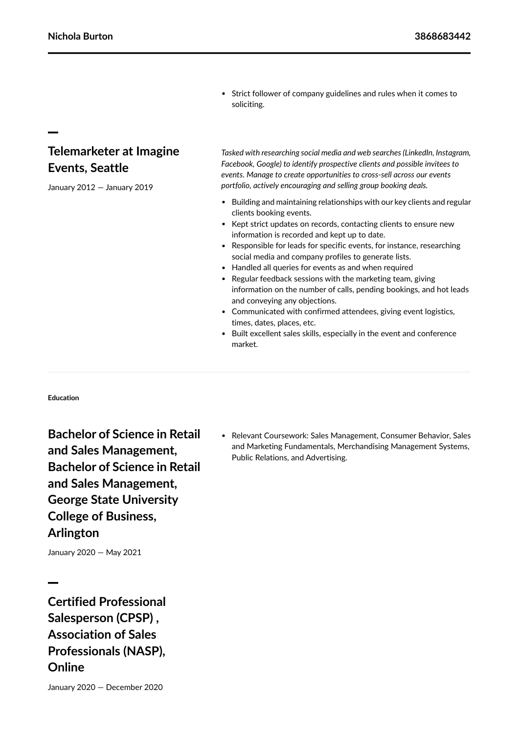Strict follower of company guidelines and rules when it comes to soliciting.

## **Telemarketer at Imagine Events, Seattle**

January 2012 — January 2019

*Tasked with researching social media and web searches (LinkedIn, Instagram, Facebook, Google) to identify prospective clients and possible invitees to events. Manage to create opportunities to cross-sell across our events portfolio, actively encouraging and selling group booking deals.*

- Building and maintaining relationships with our key clients and regular clients booking events.
- Kept strict updates on records, contacting clients to ensure new information is recorded and kept up to date.
- Responsible for leads for specific events, for instance, researching social media and company profiles to generate lists.
- Handled all queries for events as and when required
- Regular feedback sessions with the marketing team, giving information on the number of calls, pending bookings, and hot leads and conveying any objections.
- Communicated with confirmed attendees, giving event logistics, times, dates, places, etc.
- Built excellent sales skills, especially in the event and conference market.

**Education**

**Bachelor of Science in Retail and Sales Management, Bachelor of Science in Retail and Sales Management, George State University College of Business, Arlington**

Relevant Coursework: Sales Management, Consumer Behavior, Sales and Marketing Fundamentals, Merchandising Management Systems, Public Relations, and Advertising.

January 2020 — May 2021

**Certified Professional Salesperson (CPSP) , Association of Sales Professionals (NASP), Online**

January 2020 — December 2020